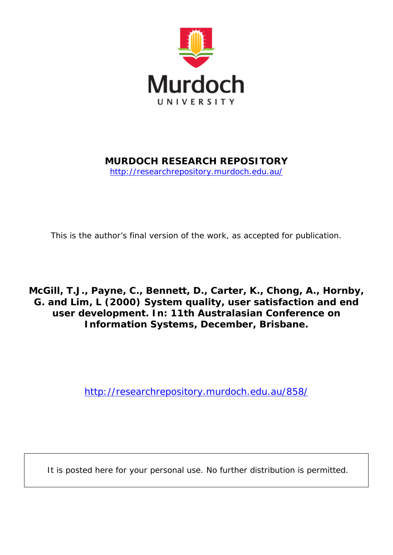

# **MURDOCH RESEARCH REPOSITORY**

<http://researchrepository.murdoch.edu.au/>

*This is the author's final version of the work, as accepted for publication.*

# **McGill, T.J., Payne, C., Bennett, D., Carter, K., Chong, A., Hornby, G. and Lim, L (2000)** *System quality, user satisfaction and end user development.* **In: 11th Australasian Conference on Information Systems, December, Brisbane.**

<http://researchrepository.murdoch.edu.au/858/>

It is posted here for your personal use. No further distribution is permitted.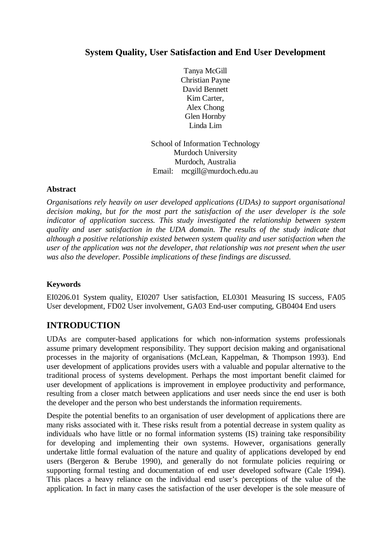## **System Quality, User Satisfaction and End User Development**

Tanya McGill Christian Payne David Bennett Kim Carter, Alex Chong Glen Hornby Linda Lim

School of Information Technology Murdoch University Murdoch, Australia Email: mcgill@murdoch.edu.au

### **Abstract**

*Organisations rely heavily on user developed applications (UDAs) to support organisational decision making, but for the most part the satisfaction of the user developer is the sole indicator of application success. This study investigated the relationship between system quality and user satisfaction in the UDA domain. The results of the study indicate that although a positive relationship existed between system quality and user satisfaction when the user of the application was not the developer, that relationship was not present when the user was also the developer. Possible implications of these findings are discussed.*

### **Keywords**

EI0206.01 System quality, EI0207 User satisfaction, EL0301 Measuring IS success, FA05 User development, FD02 User involvement, GA03 End-user computing, GB0404 End users

# **INTRODUCTION**

UDAs are computer-based applications for which non-information systems professionals assume primary development responsibility. They support decision making and organisational processes in the majority of organisations (McLean, Kappelman, & Thompson 1993). End user development of applications provides users with a valuable and popular alternative to the traditional process of systems development. Perhaps the most important benefit claimed for user development of applications is improvement in employee productivity and performance, resulting from a closer match between applications and user needs since the end user is both the developer and the person who best understands the information requirements.

Despite the potential benefits to an organisation of user development of applications there are many risks associated with it. These risks result from a potential decrease in system quality as individuals who have little or no formal information systems (IS) training take responsibility for developing and implementing their own systems. However, organisations generally undertake little formal evaluation of the nature and quality of applications developed by end users (Bergeron & Berube 1990), and generally do not formulate policies requiring or supporting formal testing and documentation of end user developed software (Cale 1994). This places a heavy reliance on the individual end user's perceptions of the value of the application. In fact in many cases the satisfaction of the user developer is the sole measure of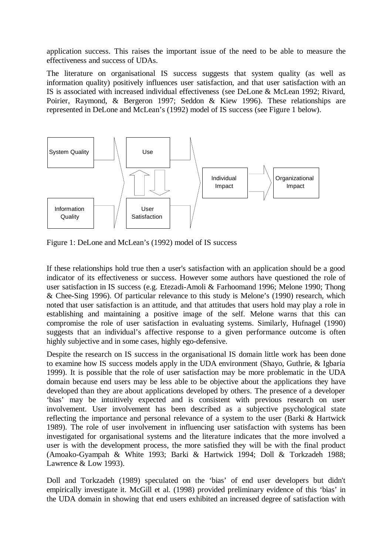application success. This raises the important issue of the need to be able to measure the effectiveness and success of UDAs.

The literature on organisational IS success suggests that system quality (as well as information quality) positively influences user satisfaction, and that user satisfaction with an IS is associated with increased individual effectiveness (see DeLone & McLean 1992; Rivard, Poirier, Raymond, & Bergeron 1997; Seddon & Kiew 1996). These relationships are represented in DeLone and McLean's (1992) model of IS success (see Figure 1 below).



Figure 1: DeLone and McLean's (1992) model of IS success

If these relationships hold true then a user's satisfaction with an application should be a good indicator of its effectiveness or success. However some authors have questioned the role of user satisfaction in IS success (e.g. Etezadi-Amoli & Farhoomand 1996; Melone 1990; Thong & Chee-Sing 1996). Of particular relevance to this study is Melone's (1990) research, which noted that user satisfaction is an attitude, and that attitudes that users hold may play a role in establishing and maintaining a positive image of the self. Melone warns that this can compromise the role of user satisfaction in evaluating systems. Similarly, Hufnagel (1990) suggests that an individual's affective response to a given performance outcome is often highly subjective and in some cases, highly ego-defensive.

Despite the research on IS success in the organisational IS domain little work has been done to examine how IS success models apply in the UDA environment (Shayo, Guthrie, & Igbaria 1999). It is possible that the role of user satisfaction may be more problematic in the UDA domain because end users may be less able to be objective about the applications they have developed than they are about applications developed by others. The presence of a developer 'bias' may be intuitively expected and is consistent with previous research on user involvement. User involvement has been described as a subjective psychological state reflecting the importance and personal relevance of a system to the user (Barki & Hartwick 1989). The role of user involvement in influencing user satisfaction with systems has been investigated for organisational systems and the literature indicates that the more involved a user is with the development process, the more satisfied they will be with the final product (Amoako-Gyampah & White 1993; Barki & Hartwick 1994; Doll & Torkzadeh 1988; Lawrence & Low 1993).

Doll and Torkzadeh (1989) speculated on the 'bias' of end user developers but didn't empirically investigate it. McGill et al. (1998) provided preliminary evidence of this 'bias' in the UDA domain in showing that end users exhibited an increased degree of satisfaction with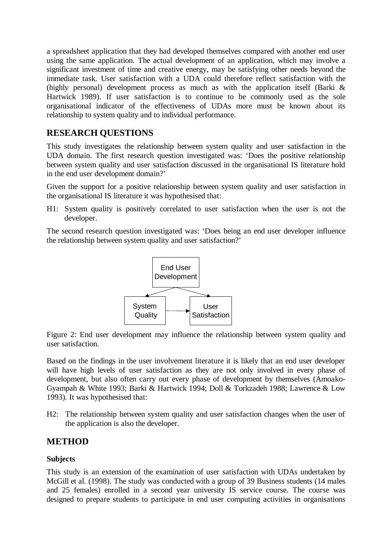a spreadsheet application that they had developed themselves compared with another end user using the same application. The actual development of an application, which may involve a significant investment of time and creative energy, may be satisfying other needs beyond the immediate task. User satisfaction with a UDA could therefore reflect satisfaction with the (highly personal) development process as much as with the application itself (Barki & Hartwick 1989). If user satisfaction is to continue to be commonly used as the sole organisational indicator of the effectiveness of UDAs more must be known about its relationship to system quality and to individual performance.

## **RESEARCH QUESTIONS**

This study investigates the relationship between system quality and user satisfaction in the UDA domain. The first research question investigated was: 'Does the positive relationship between system quality and user satisfaction discussed in the organisational IS literature hold in the end user development domain?'

Given the support for a positive relationship between system quality and user satisfaction in the organisational IS literature it was hypothesised that:

H1: System quality is positively correlated to user satisfaction when the user is not the developer.

The second research question investigated was: 'Does being an end user developer influence the relationship between system quality and user satisfaction?'



Figure 2: End user development may influence the relationship between system quality and user satisfaction.

Based on the findings in the user involvement literature it is likely that an end user developer will have high levels of user satisfaction as they are not only involved in every phase of development, but also often carry out every phase of development by themselves (Amoako-Gyampah & White 1993; Barki & Hartwick 1994; Doll & Torkzadeh 1988; Lawrence & Low 1993). It was hypothesised that:

H2: The relationship between system quality and user satisfaction changes when the user of the application is also the developer.

### **METHOD**

### **Subjects**

This study is an extension of the examination of user satisfaction with UDAs undertaken by McGill et al. (1998). The study was conducted with a group of 39 Business students (14 males and 25 females) enrolled in a second year university IS service course. The course was designed to prepare students to participate in end user computing activities in organisations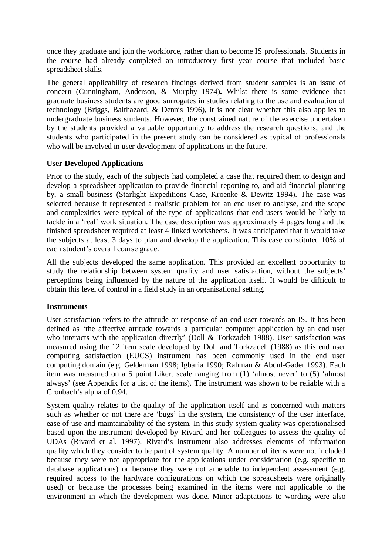once they graduate and join the workforce, rather than to become IS professionals. Students in the course had already completed an introductory first year course that included basic spreadsheet skills.

The general applicability of research findings derived from student samples is an issue of concern (Cunningham, Anderson, & Murphy 1974)**.** Whilst there is some evidence that graduate business students are good surrogates in studies relating to the use and evaluation of technology (Briggs, Balthazard, & Dennis 1996), it is not clear whether this also applies to undergraduate business students. However, the constrained nature of the exercise undertaken by the students provided a valuable opportunity to address the research questions, and the students who participated in the present study can be considered as typical of professionals who will be involved in user development of applications in the future.

### **User Developed Applications**

Prior to the study, each of the subjects had completed a case that required them to design and develop a spreadsheet application to provide financial reporting to, and aid financial planning by, a small business (Starlight Expeditions Case, Kroenke & Dewitz 1994). The case was selected because it represented a realistic problem for an end user to analyse, and the scope and complexities were typical of the type of applications that end users would be likely to tackle in a 'real' work situation. The case description was approximately 4 pages long and the finished spreadsheet required at least 4 linked worksheets. It was anticipated that it would take the subjects at least 3 days to plan and develop the application. This case constituted 10% of each student's overall course grade.

All the subjects developed the same application. This provided an excellent opportunity to study the relationship between system quality and user satisfaction, without the subjects' perceptions being influenced by the nature of the application itself. It would be difficult to obtain this level of control in a field study in an organisational setting.

#### **Instruments**

User satisfaction refers to the attitude or response of an end user towards an IS. It has been defined as 'the affective attitude towards a particular computer application by an end user who interacts with the application directly' (Doll & Torkzadeh 1988). User satisfaction was measured using the 12 item scale developed by Doll and Torkzadeh (1988) as this end user computing satisfaction (EUCS) instrument has been commonly used in the end user computing domain (e.g. Gelderman 1998; Igbaria 1990; Rahman & Abdul-Gader 1993)*.* Each item was measured on a 5 point Likert scale ranging from (1) 'almost never' to (5) 'almost always' (see Appendix for a list of the items). The instrument was shown to be reliable with a Cronbach's alpha of 0.94.

System quality relates to the quality of the application itself and is concerned with matters such as whether or not there are 'bugs' in the system, the consistency of the user interface, ease of use and maintainability of the system. In this study system quality was operationalised based upon the instrument developed by Rivard and her colleagues to assess the quality of UDAs (Rivard et al. 1997). Rivard's instrument also addresses elements of information quality which they consider to be part of system quality. A number of items were not included because they were not appropriate for the applications under consideration (e.g. specific to database applications) or because they were not amenable to independent assessment (e.g. required access to the hardware configurations on which the spreadsheets were originally used) or because the processes being examined in the items were not applicable to the environment in which the development was done. Minor adaptations to wording were also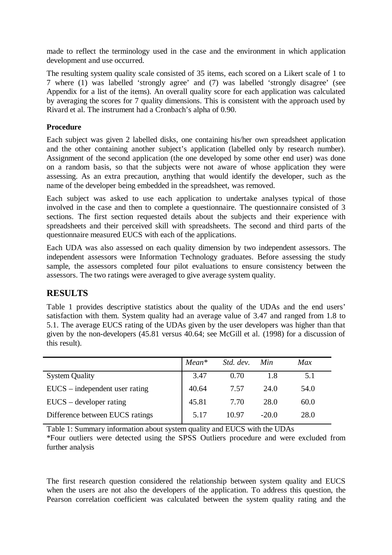made to reflect the terminology used in the case and the environment in which application development and use occurred.

The resulting system quality scale consisted of 35 items, each scored on a Likert scale of 1 to 7 where (1) was labelled 'strongly agree' and (7) was labelled 'strongly disagree' (see Appendix for a list of the items). An overall quality score for each application was calculated by averaging the scores for 7 quality dimensions. This is consistent with the approach used by Rivard et al. The instrument had a Cronbach's alpha of 0.90.

### **Procedure**

Each subject was given 2 labelled disks, one containing his/her own spreadsheet application and the other containing another subject's application (labelled only by research number). Assignment of the second application (the one developed by some other end user) was done on a random basis, so that the subjects were not aware of whose application they were assessing. As an extra precaution, anything that would identify the developer, such as the name of the developer being embedded in the spreadsheet, was removed.

Each subject was asked to use each application to undertake analyses typical of those involved in the case and then to complete a questionnaire. The questionnaire consisted of 3 sections. The first section requested details about the subjects and their experience with spreadsheets and their perceived skill with spreadsheets. The second and third parts of the questionnaire measured EUCS with each of the applications.

Each UDA was also assessed on each quality dimension by two independent assessors. The independent assessors were Information Technology graduates. Before assessing the study sample, the assessors completed four pilot evaluations to ensure consistency between the assessors. The two ratings were averaged to give average system quality.

# **RESULTS**

Table 1 provides descriptive statistics about the quality of the UDAs and the end users' satisfaction with them. System quality had an average value of 3.47 and ranged from 1.8 to 5.1. The average EUCS rating of the UDAs given by the user developers was higher than that given by the non-developers (45.81 versus 40.64; see McGill et al. (1998) for a discussion of this result).

|                                  | $Mean*$ | Std. dev. | Min     | Max  |
|----------------------------------|---------|-----------|---------|------|
| <b>System Quality</b>            | 3.47    | 0.70      | 1.8     | 5.1  |
| $EUCS$ – independent user rating | 40.64   | 7.57      | 24.0    | 54.0 |
| $EUCS - development$ rating      | 45.81   | 7.70      | 28.0    | 60.0 |
| Difference between EUCS ratings  | 5.17    | 10.97     | $-20.0$ | 28.0 |

Table 1: Summary information about system quality and EUCS with the UDAs \*Four outliers were detected using the SPSS Outliers procedure and were excluded from further analysis

The first research question considered the relationship between system quality and EUCS when the users are not also the developers of the application. To address this question, the Pearson correlation coefficient was calculated between the system quality rating and the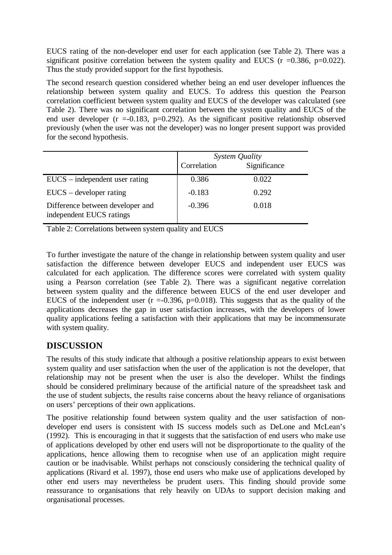EUCS rating of the non-developer end user for each application (see Table 2). There was a significant positive correlation between the system quality and EUCS ( $r = 0.386$ ,  $p = 0.022$ ). Thus the study provided support for the first hypothesis.

The second research question considered whether being an end user developer influences the relationship between system quality and EUCS. To address this question the Pearson correlation coefficient between system quality and EUCS of the developer was calculated (see Table 2). There was no significant correlation between the system quality and EUCS of the end user developer ( $r = -0.183$ ,  $p = 0.292$ ). As the significant positive relationship observed previously (when the user was not the developer) was no longer present support was provided for the second hypothesis.

|                                                              | System Quality |              |  |
|--------------------------------------------------------------|----------------|--------------|--|
|                                                              | Correlation    | Significance |  |
| $EUCS$ – independent user rating                             | 0.386          | 0.022        |  |
| $EUCS - development$ rating                                  | $-0.183$       | 0.292        |  |
| Difference between developer and<br>independent EUCS ratings | $-0.396$       | 0.018        |  |

Table 2: Correlations between system quality and EUCS

To further investigate the nature of the change in relationship between system quality and user satisfaction the difference between developer EUCS and independent user EUCS was calculated for each application. The difference scores were correlated with system quality using a Pearson correlation (see Table 2). There was a significant negative correlation between system quality and the difference between EUCS of the end user developer and EUCS of the independent user  $(r = 0.396, p = 0.018)$ . This suggests that as the quality of the applications decreases the gap in user satisfaction increases, with the developers of lower quality applications feeling a satisfaction with their applications that may be incommensurate with system quality.

# **DISCUSSION**

The results of this study indicate that although a positive relationship appears to exist between system quality and user satisfaction when the user of the application is not the developer, that relationship may not be present when the user is also the developer. Whilst the findings should be considered preliminary because of the artificial nature of the spreadsheet task and the use of student subjects, the results raise concerns about the heavy reliance of organisations on users' perceptions of their own applications.

The positive relationship found between system quality and the user satisfaction of nondeveloper end users is consistent with IS success models such as DeLone and McLean's (1992). This is encouraging in that it suggests that the satisfaction of end users who make use of applications developed by other end users will not be disproportionate to the quality of the applications, hence allowing them to recognise when use of an application might require caution or be inadvisable. Whilst perhaps not consciously considering the technical quality of applications (Rivard et al. 1997), those end users who make use of applications developed by other end users may nevertheless be prudent users. This finding should provide some reassurance to organisations that rely heavily on UDAs to support decision making and organisational processes.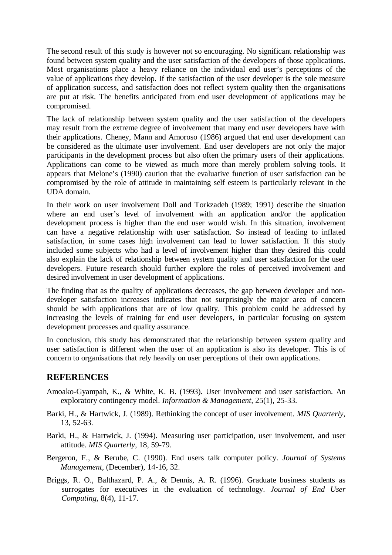The second result of this study is however not so encouraging. No significant relationship was found between system quality and the user satisfaction of the developers of those applications. Most organisations place a heavy reliance on the individual end user's perceptions of the value of applications they develop. If the satisfaction of the user developer is the sole measure of application success, and satisfaction does not reflect system quality then the organisations are put at risk. The benefits anticipated from end user development of applications may be compromised.

The lack of relationship between system quality and the user satisfaction of the developers may result from the extreme degree of involvement that many end user developers have with their applications. Cheney, Mann and Amoroso (1986) argued that end user development can be considered as the ultimate user involvement. End user developers are not only the major participants in the development process but also often the primary users of their applications. Applications can come to be viewed as much more than merely problem solving tools. It appears that Melone's (1990) caution that the evaluative function of user satisfaction can be compromised by the role of attitude in maintaining self esteem is particularly relevant in the UDA domain.

In their work on user involvement Doll and Torkzadeh (1989; 1991) describe the situation where an end user's level of involvement with an application and/or the application development process is higher than the end user would wish. In this situation, involvement can have a negative relationship with user satisfaction. So instead of leading to inflated satisfaction, in some cases high involvement can lead to lower satisfaction. If this study included some subjects who had a level of involvement higher than they desired this could also explain the lack of relationship between system quality and user satisfaction for the user developers. Future research should further explore the roles of perceived involvement and desired involvement in user development of applications.

The finding that as the quality of applications decreases, the gap between developer and nondeveloper satisfaction increases indicates that not surprisingly the major area of concern should be with applications that are of low quality. This problem could be addressed by increasing the levels of training for end user developers, in particular focusing on system development processes and quality assurance.

In conclusion, this study has demonstrated that the relationship between system quality and user satisfaction is different when the user of an application is also its developer. This is of concern to organisations that rely heavily on user perceptions of their own applications.

### **REFERENCES**

- Amoako-Gyampah, K., & White, K. B. (1993). User involvement and user satisfaction. An exploratory contingency model. *Information & Management,* 25(1), 25-33.
- Barki, H., & Hartwick, J. (1989). Rethinking the concept of user involvement. *MIS Quarterly,* 13, 52-63.
- Barki, H., & Hartwick, J. (1994). Measuring user participation, user involvement, and user attitude. *MIS Quarterly,* 18, 59-79.
- Bergeron, F., & Berube, C. (1990). End users talk computer policy. *Journal of Systems Management,* (December), 14-16, 32.
- Briggs, R. O., Balthazard, P. A., & Dennis, A. R. (1996). Graduate business students as surrogates for executives in the evaluation of technology. *Journal of End User Computing,* 8(4), 11-17.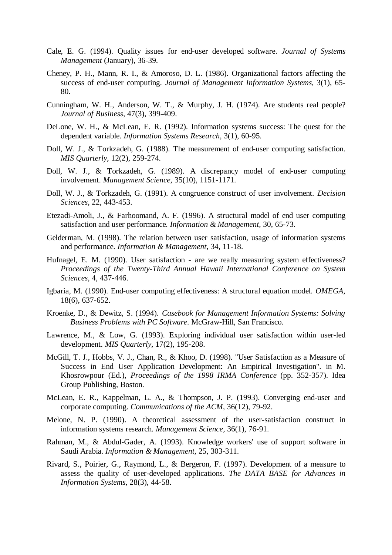- Cale, E. G. (1994). Quality issues for end-user developed software. *Journal of Systems Management* (January), 36-39.
- Cheney, P. H., Mann, R. I., & Amoroso, D. L. (1986). Organizational factors affecting the success of end-user computing. *Journal of Management Information Systems,* 3(1), 65- 80.
- Cunningham, W. H., Anderson, W. T., & Murphy, J. H. (1974). Are students real people? *Journal of Business,* 47(3), 399-409.
- DeLone, W. H., & McLean, E. R. (1992). Information systems success: The quest for the dependent variable. *Information Systems Research,* 3(1), 60-95.
- Doll, W. J., & Torkzadeh, G. (1988). The measurement of end-user computing satisfaction. *MIS Quarterly,* 12(2), 259-274.
- Doll, W. J., & Torkzadeh, G. (1989). A discrepancy model of end-user computing involvement. *Management Science,* 35(10), 1151-1171.
- Doll, W. J., & Torkzadeh, G. (1991). A congruence construct of user involvement. *Decision Sciences,* 22, 443-453.
- Etezadi-Amoli, J., & Farhoomand, A. F. (1996). A structural model of end user computing satisfaction and user performance. *Information & Management,* 30, 65-73.
- Gelderman, M. (1998). The relation between user satisfaction, usage of information systems and performance. *Information & Management,* 34, 11-18.
- Hufnagel, E. M. (1990). User satisfaction are we really measuring system effectiveness? *Proceedings of the Twenty-Third Annual Hawaii International Conference on System Sciences,* 4, 437-446.
- Igbaria, M. (1990). End-user computing effectiveness: A structural equation model. *OMEGA,* 18(6), 637-652.
- Kroenke, D., & Dewitz, S. (1994). *Casebook for Management Information Systems: Solving Business Problems with PC Software*. McGraw-Hill, San Francisco.
- Lawrence, M., & Low, G. (1993). Exploring individual user satisfaction within user-led development. *MIS Quarterly,* 17(2), 195-208.
- McGill, T. J., Hobbs, V. J., Chan, R., & Khoo, D. (1998). "User Satisfaction as a Measure of Success in End User Application Development: An Empirical Investigation". in M. Khosrowpour (Ed.), *Proceedings of the 1998 IRMA Conference* (pp. 352-357). Idea Group Publishing, Boston.
- McLean, E. R., Kappelman, L. A., & Thompson, J. P. (1993). Converging end-user and corporate computing. *Communications of the ACM,* 36(12), 79-92.
- Melone, N. P. (1990). A theoretical assessment of the user-satisfaction construct in information systems research. *Management Science,* 36(1), 76-91.
- Rahman, M., & Abdul-Gader, A. (1993). Knowledge workers' use of support software in Saudi Arabia. *Information & Management,* 25, 303-311.
- Rivard, S., Poirier, G., Raymond, L., & Bergeron, F. (1997). Development of a measure to assess the quality of user-developed applications. *The DATA BASE for Advances in Information Systems,* 28(3), 44-58.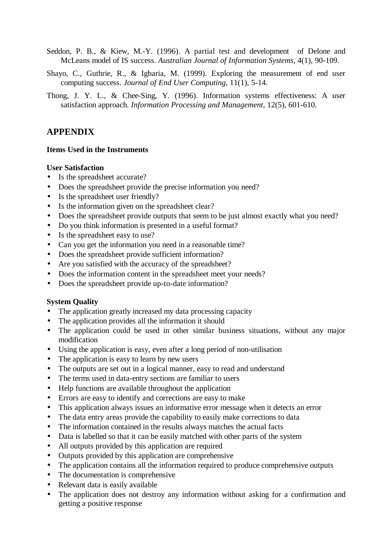- Seddon, P. B., & Kiew, M.-Y. (1996). A partial test and development of Delone and McLeans model of IS success. *Australian Journal of Information Systems,* 4(1), 90-109.
- Shayo, C., Guthrie, R., & Igbaria, M. (1999). Exploring the measurement of end user computing success. *Journal of End User Computing,* 11(1), 5-14.
- Thong, J. Y. L., & Chee-Sing, Y. (1996). Information systems effectiveness: A user satisfaction approach. *Information Processing and Management,* 12(5), 601-610.

### **APPENDIX**

#### **Items Used in the Instruments**

#### **User Satisfaction**

- Is the spreadsheet accurate?
- Does the spreadsheet provide the precise information you need?
- Is the spreadsheet user friendly?
- Is the information given on the spreadsheet clear?
- Does the spreadsheet provide outputs that seem to be just almost exactly what you need?
- Do you think information is presented in a useful format?
- Is the spreadsheet easy to use?
- Can you get the information you need in a reasonable time?
- Does the spreadsheet provide sufficient information?
- Are you satisfied with the accuracy of the spreadsheet?
- Does the information content in the spreadsheet meet your needs?
- Does the spreadsheet provide up-to-date information?

#### **System Quality**

- The application greatly increased my data processing capacity
- The application provides all the information it should
- The application could be used in other similar business situations, without any major modification
- Using the application is easy, even after a long period of non-utilisation
- The application is easy to learn by new users
- The outputs are set out in a logical manner, easy to read and understand
- The terms used in data-entry sections are familiar to users
- Help functions are available throughout the application
- Errors are easy to identify and corrections are easy to make
- This application always issues an informative error message when it detects an error
- The data entry areas provide the capability to easily make corrections to data
- The information contained in the results always matches the actual facts
- Data is labelled so that it can be easily matched with other parts of the system
- All outputs provided by this application are required
- Outputs provided by this application are comprehensive
- The application contains all the information required to produce comprehensive outputs
- The documentation is comprehensive
- Relevant data is easily available
- The application does not destroy any information without asking for a confirmation and getting a positive response